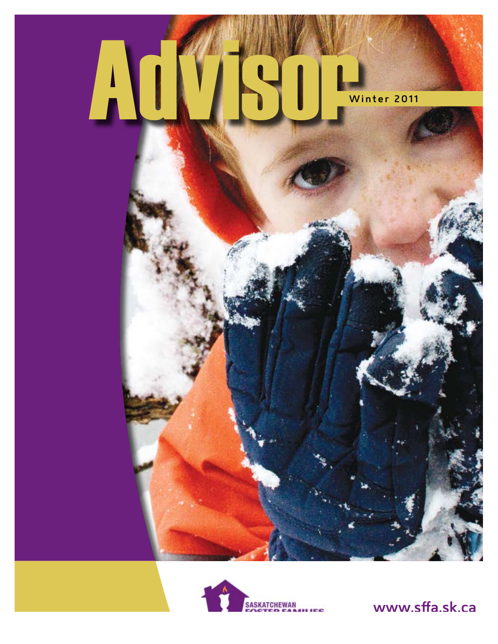



www.sffa.sk.ca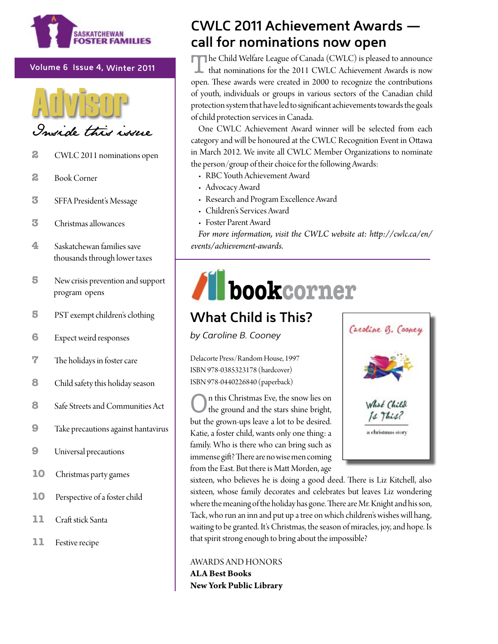

#### Volume 6 Issue 4, Winter 2011



- 2 CWLC 2011 nominations open
- $\mathbf{z}$ **Book Corner**
- 3 SFFA President's Message
- 3 Christmas allowances
- 4 Saskatchewan families save thousands through lower taxes
- 5 New crisis prevention and support program opens
- 5 PST exempt children's clothing
- 6 Expect weird responses
- 7 The holidays in foster care
- 8 Child safety this holiday season
- 8 Safe Streets and Communities Act
- $9$ Take precautions against hantavirus
- $\boldsymbol{9}$ Universal precautions
- 10 Christmas party games
- 10 Perspective of a foster child
- 11 Craft stick Santa
- 11 Festive recipe

## **CWLC 2011 Achievement Awards** call for nominations now open

The Child Welfare League of Canada (CWLC) is pleased to announce that nominations for the 2011 CWLC Achievement Awards is now open. These awards were created in 2000 to recognize the contributions of youth, individuals or groups in various sectors of the Canadian child protection system that have led to significant achievements towards the goals of child protection services in Canada.

One CWLC Achievement Award winner will be selected from each category and will be honoured at the CWLC Recognition Event in Ottawa in March 2012. We invite all CWLC Member Organizations to nominate the person/group of their choice for the following Awards:

- RBC Youth Achievement Award
- Advocacy Award
- Research and Program Excellence Award
- Children's Services Award
- Foster Parent Award

For more information, visit the CWLC website at: http://cwlc.ca/en/ events/achievement-awards.

## bookcorner

## **What Child is This?**

by Caroline B. Cooney

Delacorte Press/Random House, 1997 ISBN 978-0385323178 (hardcover) ISBN 978-0440226840 (paperback)





sixteen, who believes he is doing a good deed. There is Liz Kitchell, also sixteen, whose family decorates and celebrates but leaves Liz wondering where the meaning of the holiday has gone. There are Mr. Knight and his son, Tack, who run an inn and put up a tree on which children's wishes will hang, waiting to be granted. It's Christmas, the season of miracles, joy, and hope. Is that spirit strong enough to bring about the impossible?

#### **AWARDS AND HONORS**

**ALA Best Books** New York Public Library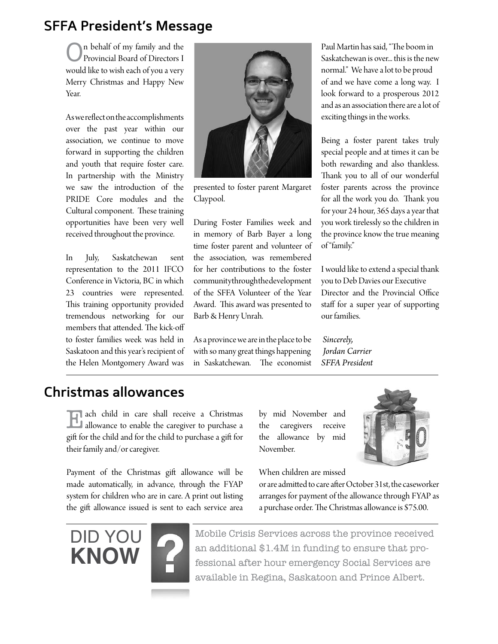## **SFFA President's Message**

On behalf of my family and the Provincial Board of Directors I would like to wish each of you a very Merry Christmas and Happy New Year.

As we refect on the accomplishments over the past year within our association, we continue to move forward in supporting the children and youth that require foster care. In partnership with the Ministry we saw the introduction of the PRIDE Core modules and the Cultural component. These training opportunities have been very well received throughout the province.

In July, Saskatchewan sent representation to the 2011 IFCO Conference in Victoria, BC in which 23 countries were represented. This training opportunity provided tremendous networking for our members that attended. The kick-off to foster families week was held in Saskatoon and this year's recipient of the Helen Montgomery Award was



presented to foster parent Margaret Claypool.

During Foster Families week and in memory of Barb Bayer a long time foster parent and volunteer of the association, was remembered for her contributions to the foster community through the development of the SFFA Volunteer of the Year Award. This award was presented to Barb & Henry Unrah.

As a province we are in the place to be with so many great things happening in Saskatchewan. The economist

Paul Martin has said, "The boom in Saskatchewan is over... this is the new normal." We have a lot to be proud of and we have come a long way. I look forward to a prosperous 2012 and as an association there are a lot of exciting things in the works.

Being a foster parent takes truly special people and at times it can be both rewarding and also thankless. Thank you to all of our wonderful foster parents across the province for all the work you do. Thank you for your 24 hour, 365 days a year that you work tirelessly so the children in the province know the true meaning of "family."

I would like to extend a special thank you to Deb Davies our Executive Director and the Provincial Office staff for a super year of supporting our families.

*Sincerely, Jordan Carrier SFFA President*

## **Christmas allowances**

Each child in care shall receive a Christmas allowance to enable the caregiver to purchase a gift for the child and for the child to purchase a gift for their family and/or caregiver.

Payment of the Christmas gif allowance will be made automatically, in advance, through the FYAP system for children who are in care. A print out listing the gift allowance issued is sent to each service area

by mid November and the caregivers receive the allowance by mid November.

When children are missed







Mobile Crisis Services across the province received an additional \$1.4M in funding to ensure that professional after hour emergency Social Services are available in Regina, Saskatoon and Prince Albert.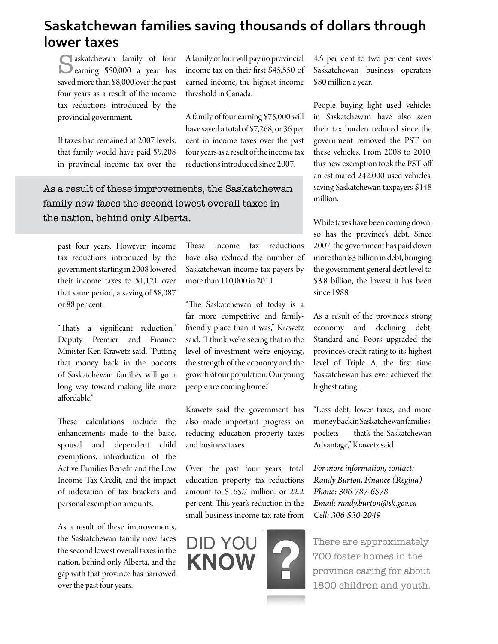## **Saskatchewan families saving thousands of dollars through lower taxes**

threshold in Canada.

A family of four will pay no provincial income tax on their frst \$45,550 of earned income, the highest income

A family of four earning \$75,000 will have saved a total of \$7,268, or 36 per cent in income taxes over the past four years as a result of the income tax reductions introduced since 2007.

skatchewan family of four earning \$50,000 a year has saved more than \$8,000 over the past four years as a result of the income tax reductions introduced by the provincial government.

If taxes had remained at 2007 levels, that family would have paid \$9,208 in provincial income tax over the

As a result of these improvements, the Saskatchewan family now faces the second lowest overall taxes in the nation, behind only Alberta.

past four years. However, income tax reductions introduced by the government starting in 2008 lowered their income taxes to \$1,121 over that same period, a saving of \$8,087 or 88 per cent.

"That's a significant reduction," Deputy Premier and Finance Minister Ken Krawetz said. "Puting that money back in the pockets of Saskatchewan families will go a long way toward making life more afordable."

These calculations include the enhancements made to the basic, spousal and dependent child exemptions, introduction of the Active Families Beneft and the Low Income Tax Credit, and the impact of indexation of tax brackets and personal exemption amounts.

As a result of these improvements, the Saskatchewan family now faces the second lowest overall taxes in the nation, behind only Alberta, and the gap with that province has narrowed over the past four years.

These income tax reductions have also reduced the number of Saskatchewan income tax payers by more than 110,000 in 2011.

"The Saskatchewan of today is a far more competitive and familyfriendly place than it was," Krawetz said. "I think we're seeing that in the level of investment we're enjoying, the strength of the economy and the growth of our population. Our young people are coming home."

Krawetz said the government has also made important progress on reducing education property taxes and business taxes.

Over the past four years, total education property tax reductions amount to \$165.7 million, or 22.2 per cent. This year's reduction in the small business income tax rate from



4.5 per cent to two per cent saves Saskatchewan business operators \$80 million a year.

People buying light used vehicles in Saskatchewan have also seen their tax burden reduced since the government removed the PST on these vehicles. From 2008 to 2010, this new exemption took the PST of an estimated 242,000 used vehicles, saving Saskatchewan taxpayers \$148 million.

While taxes have been coming down, so has the province's debt. Since 2007, the government has paid down more than \$3 billion in debt, bringing the government general debt level to \$3.8 billion, the lowest it has been since 1988.

As a result of the province's strong economy and declining debt, Standard and Poors upgraded the province's credit rating to its highest level of Triple A, the frst time Saskatchewan has ever achieved the highest rating.

"Less debt, lower taxes, and more money back in Saskatchewan families' pockets — that's the Saskatchewan Advantage," Krawetz said.

*For more information, contact: Randy Burton, Finance (Regina) Phone: 306-787-6578 Email: randy.burton@sk.gov.ca Cell: 306-530-2049* 

There are approximately 700 foster homes in the province caring for about 1800 children and youth.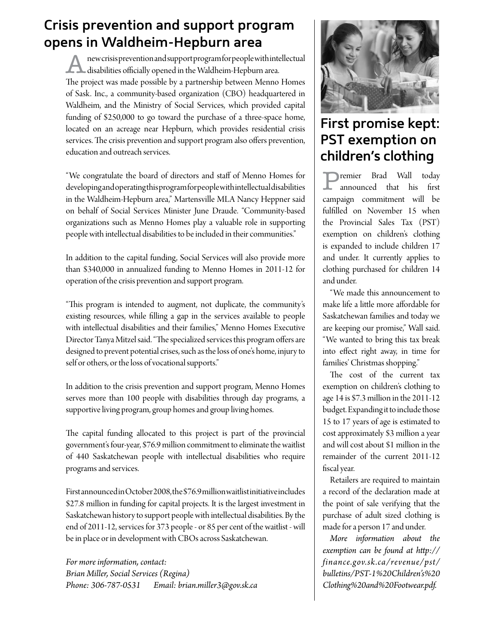## **Crisis prevention and support program opens in Waldheim-Hepburn area**

new crisis prevention and support program for people with intellectual **disabilities officially opened in the Waldheim-Hepburn area.** The project was made possible by a partnership between Menno Homes of Sask. Inc., a community-based organization (CBO) headquartered in Waldheim, and the Ministry of Social Services, which provided capital funding of \$250,000 to go toward the purchase of a three-space home, located on an acreage near Hepburn, which provides residential crisis services. The crisis prevention and support program also offers prevention, education and outreach services.

"We congratulate the board of directors and staf of Menno Homes for developing and operating this program for people with intellectual disabilities in the Waldheim-Hepburn area," Martensville MLA Nancy Heppner said on behalf of Social Services Minister June Draude. "Community-based organizations such as Menno Homes play a valuable role in supporting people with intellectual disabilities to be included in their communities."

In addition to the capital funding, Social Services will also provide more than \$340,000 in annualized funding to Menno Homes in 2011-12 for operation of the crisis prevention and support program.

"This program is intended to augment, not duplicate, the community's existing resources, while flling a gap in the services available to people with intellectual disabilities and their families," Menno Homes Executive Director Tanya Mitzel said. "The specialized services this program offers are designed to prevent potential crises, such as the loss of one's home, injury to self or others, or the loss of vocational supports."

In addition to the crisis prevention and support program, Menno Homes serves more than 100 people with disabilities through day programs, a supportive living program, group homes and group living homes.

The capital funding allocated to this project is part of the provincial government's four-year, \$76.9 million commitment to eliminate the waitlist of 440 Saskatchewan people with intellectual disabilities who require programs and services.

First announced in October 2008, the \$76.9 million waitlist initiative includes \$27.8 million in funding for capital projects. It is the largest investment in Saskatchewan history to support people with intellectual disabilities. By the end of 2011-12, services for 373 people - or 85 per cent of the waitlist - will be in place or in development with CBOs across Saskatchewan.

*For more information, contact: Brian Miller, Social Services (Regina) Phone: 306-787-0531 Email: brian.miller3@gov.sk.ca*



## **First promise kept: PST exemption on children's clothing**

remier Brad Wall today<br>announced that his first announced that his campaign commitment will be fulflled on November 15 when the Provincial Sales Tax (PST) exemption on children's clothing is expanded to include children 17 and under. It currently applies to clothing purchased for children 14 and under.

"We made this announcement to make life a litle more afordable for Saskatchewan families and today we are keeping our promise," Wall said. "We wanted to bring this tax break into efect right away, in time for families' Christmas shopping."

The cost of the current tax exemption on children's clothing to age 14 is \$7.3 million in the 2011-12 budget. Expanding it to include those 15 to 17 years of age is estimated to cost approximately \$3 million a year and will cost about \$1 million in the remainder of the current 2011-12 fscal year.

Retailers are required to maintain a record of the declaration made at the point of sale verifying that the purchase of adult sized clothing is made for a person 17 and under.

*More information about the exemption can be found at htp:// finance.gov.sk.ca/revenue/pst/ bulletins/PST-1%20Children's%20 Clothing%20and%20Footwear.pdf.*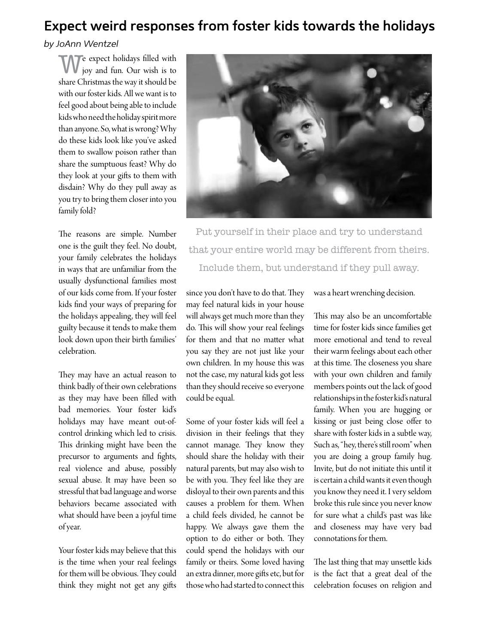## **Expect weird responses from foster kids towards the holidays**

#### *by JoAnn Wentzel*

Te expect holidays filled with joy and fun. Our wish is to share Christmas the way it should be with our foster kids. All we want is to feel good about being able to include kids who need the holiday spirit more than anyone. So, what is wrong? Why do these kids look like you've asked them to swallow poison rather than share the sumptuous feast? Why do they look at your gifs to them with disdain? Why do they pull away as you try to bring them closer into you family fold?

The reasons are simple. Number one is the guilt they feel. No doubt, your family celebrates the holidays in ways that are unfamiliar from the usually dysfunctional families most of our kids come from. If your foster kids fnd your ways of preparing for the holidays appealing, they will feel guilty because it tends to make them look down upon their birth families' celebration.

They may have an actual reason to think badly of their own celebrations as they may have been flled with bad memories. Your foster kid's holidays may have meant out-ofcontrol drinking which led to crisis. This drinking might have been the precursor to arguments and fghts, real violence and abuse, possibly sexual abuse. It may have been so stressful that bad language and worse behaviors became associated with what should have been a joyful time of year.

Your foster kids may believe that this is the time when your real feelings for them will be obvious. They could think they might not get any gifs



Put yourself in their place and try to understand that your entire world may be different from theirs. Include them, but understand if they pull away.

since you don't have to do that. They may feel natural kids in your house will always get much more than they do. This will show your real feelings for them and that no mater what you say they are not just like your own children. In my house this was not the case, my natural kids got less than they should receive so everyone could be equal.

Some of your foster kids will feel a division in their feelings that they cannot manage. They know they should share the holiday with their natural parents, but may also wish to be with you. They feel like they are disloyal to their own parents and this causes a problem for them. When a child feels divided, he cannot be happy. We always gave them the option to do either or both. They could spend the holidays with our family or theirs. Some loved having an extra dinner, more gifs etc, but for those who had started to connect this was a heart wrenching decision.

This may also be an uncomfortable time for foster kids since families get more emotional and tend to reveal their warm feelings about each other at this time. The closeness you share with your own children and family members points out the lack of good relationships in the foster kid's natural family. When you are hugging or kissing or just being close offer to share with foster kids in a subtle way, Such as, "hey, there's still room" when you are doing a group family hug. Invite, but do not initiate this until it is certain a child wants it even though you know they need it. I very seldom broke this rule since you never know for sure what a child's past was like and closeness may have very bad connotations for them.

The last thing that may unsettle kids is the fact that a great deal of the celebration focuses on religion and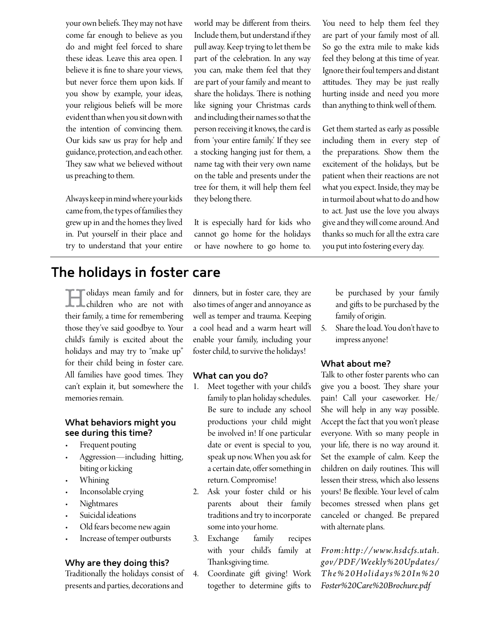your own beliefs. They may not have come far enough to believe as you do and might feel forced to share these ideas. Leave this area open. I believe it is fne to share your views, but never force them upon kids. If you show by example, your ideas, your religious beliefs will be more evident than when you sit down with the intention of convincing them. Our kids saw us pray for help and guidance, protection, and each other. They saw what we believed without us preaching to them.

Always keep in mind where your kids came from, the types of families they grew up in and the homes they lived in. Put yourself in their place and try to understand that your entire world may be diferent from theirs. Include them, but understand if they pull away. Keep trying to let them be part of the celebration. In any way you can, make them feel that they are part of your family and meant to share the holidays. There is nothing like signing your Christmas cards and including their names so that the person receiving it knows, the card is from 'your entire family.' If they see a stocking hanging just for them, a name tag with their very own name on the table and presents under the tree for them, it will help them feel they belong there.

It is especially hard for kids who cannot go home for the holidays or have nowhere to go home to. You need to help them feel they are part of your family most of all. So go the extra mile to make kids feel they belong at this time of year. Ignore their foul tempers and distant attitudes. They may be just really hurting inside and need you more than anything to think well of them.

Get them started as early as possible including them in every step of the preparations. Show them the excitement of the holidays, but be patient when their reactions are not what you expect. Inside, they may be in turmoil about what to do and how to act. Just use the love you always give and they will come around. And thanks so much for all the extra care you put into fostering every day.

## **The holidays in foster care**

**Folidays mean family and for** children who are not with their family, a time for remembering those they've said goodbye to. Your child's family is excited about the holidays and may try to "make up" for their child being in foster care. All families have good times. They can't explain it, but somewhere the memories remain.

#### **What behaviors might you see during this time?**

- Frequent pouting
- Aggression—including hitting, biting or kicking
- Whining
- Inconsolable crying
- **Nightmares**
- Suicidal ideations
- Old fears become new again
- Increase of temper outbursts

#### **Why are they doing this?**

Traditionally the holidays consist of presents and parties, decorations and

dinners, but in foster care, they are also times of anger and annoyance as well as temper and trauma. Keeping a cool head and a warm heart will enable your family, including your foster child, to survive the holidays!

#### **What can you do?**

- 1. Meet together with your child's family to plan holiday schedules. Be sure to include any school productions your child might be involved in! If one particular date or event is special to you, speak up now. When you ask for a certain date, offer something in return. Compromise!
- 2. Ask your foster child or his parents about their family traditions and try to incorporate some into your home.
- 3. Exchange family recipes with your child's family at Thanksgiving time.
- 4. Coordinate gift giving! Work together to determine gifs to

be purchased by your family and gifs to be purchased by the family of origin.

5. Share the load. You don't have to impress anyone!

#### **What about me?**

Talk to other foster parents who can give you a boost. They share your pain! Call your caseworker. He/ She will help in any way possible. Accept the fact that you won't please everyone. With so many people in your life, there is no way around it. Set the example of calm. Keep the children on daily routines. This will lessen their stress, which also lessens yours! Be fexible. Your level of calm becomes stressed when plans get canceled or changed. Be prepared with alternate plans.

*From:http://www.hsdcfs.utah. gov/PDF/Weekly%20Updates/ The%20Holidays%20In%20 Foster%20Care%20Brochure.pdf*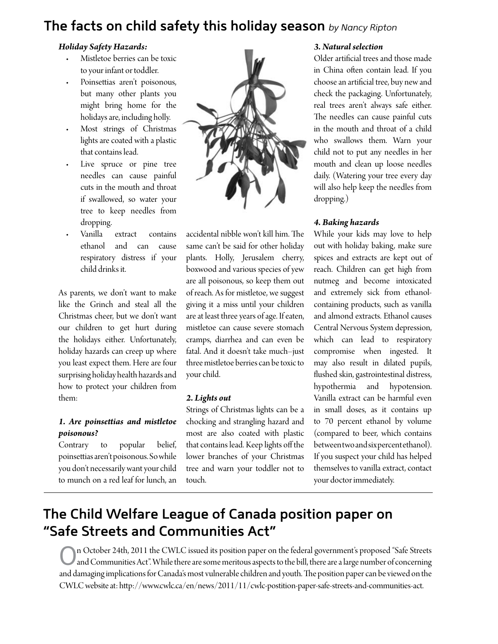## **The facts on child safety this holiday season** *by Nancy Ripton*

#### *Holiday Safety Hazards:*

- Mistletoe berries can be toxic to your infant or toddler.
- Poinsettias aren't poisonous, but many other plants you might bring home for the holidays are, including holly.
- Most strings of Christmas lights are coated with a plastic that contains lead.
- Live spruce or pine tree needles can cause painful cuts in the mouth and throat if swallowed, so water your tree to keep needles from dropping.
- Vanilla extract contains ethanol and can cause respiratory distress if your child drinks it.

As parents, we don't want to make like the Grinch and steal all the Christmas cheer, but we don't want our children to get hurt during the holidays either. Unfortunately, holiday hazards can creep up where you least expect them. Here are four surprising holiday health hazards and how to protect your children from them:

#### *1. Are poinsetias and mistletoe poisonous?*

Contrary to popular belief, poinsetias aren't poisonous. So while you don't necessarily want your child to munch on a red leaf for lunch, an



accidental nibble won't kill him. The same can't be said for other holiday plants. Holly, Jerusalem cherry, boxwood and various species of yew are all poisonous, so keep them out of reach. As for mistletoe, we suggest giving it a miss until your children are at least three years of age. If eaten, mistletoe can cause severe stomach cramps, diarrhea and can even be fatal. And it doesn't take much–just three mistletoe berries can be toxic to your child.

#### *2. Lights out*

Strings of Christmas lights can be a chocking and strangling hazard and most are also coated with plastic that contains lead. Keep lights off the lower branches of your Christmas tree and warn your toddler not to touch.

#### *3. Natural selection*

Older artifcial trees and those made in China often contain lead. If you choose an artifcial tree, buy new and check the packaging. Unfortunately, real trees aren't always safe either. The needles can cause painful cuts in the mouth and throat of a child who swallows them. Warn your child not to put any needles in her mouth and clean up loose needles daily. (Watering your tree every day will also help keep the needles from dropping.)

#### *4. Baking hazards*

While your kids may love to help out with holiday baking, make sure spices and extracts are kept out of reach. Children can get high from nutmeg and become intoxicated and extremely sick from ethanolcontaining products, such as vanilla and almond extracts. Ethanol causes Central Nervous System depression, which can lead to respiratory compromise when ingested. It may also result in dilated pupils, fushed skin, gastrointestinal distress, hypothermia and hypotension. Vanilla extract can be harmful even in small doses, as it contains up to 70 percent ethanol by volume (compared to beer, which contains between two and six percent ethanol). If you suspect your child has helped themselves to vanilla extract, contact your doctor immediately.

## **The Child Welfare League of Canada position paper on "Safe Streets and Communities Act"**

On October 24th, 2011 the CWLC issued its position paper on the federal government's proposed "Safe Streets and Communities Act". While there are some meritous aspects to the bill, there are a large number of concerning and damaging implications for Canada's most vulnerable children and youth. The position paper can be viewed on the CWLC website at: htp://www.cwlc.ca/en/news/2011/11/cwlc-postition-paper-safe-streets-and-communities-act.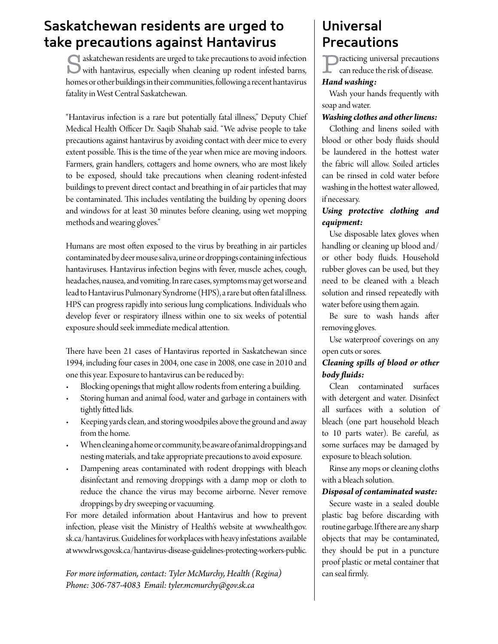## **Saskatchewan residents are urged to take precautions against Hantavirus**

saskatchewan residents are urged to take precautions to avoid infection with hantavirus, especially when cleaning up rodent infested barns, homes or other buildings in their communities, following a recent hantavirus fatality in West Central Saskatchewan.

"Hantavirus infection is a rare but potentially fatal illness," Deputy Chief Medical Health Officer Dr. Saqib Shahab said. "We advise people to take precautions against hantavirus by avoiding contact with deer mice to every extent possible. This is the time of the year when mice are moving indoors. Farmers, grain handlers, cottagers and home owners, who are most likely to be exposed, should take precautions when cleaning rodent-infested buildings to prevent direct contact and breathing in of air particles that may be contaminated. This includes ventilating the building by opening doors and windows for at least 30 minutes before cleaning, using wet mopping methods and wearing gloves."

Humans are most often exposed to the virus by breathing in air particles contaminated by deer mouse saliva, urine or droppings containing infectious hantaviruses. Hantavirus infection begins with fever, muscle aches, cough, headaches, nausea, and vomiting. In rare cases, symptoms may get worse and lead to Hantavirus Pulmonary Syndrome (HPS), a rare but often fatal illness. HPS can progress rapidly into serious lung complications. Individuals who develop fever or respiratory illness within one to six weeks of potential exposure should seek immediate medical atention.

There have been 21 cases of Hantavirus reported in Saskatchewan since 1994, including four cases in 2004, one case in 2008, one case in 2010 and one this year. Exposure to hantavirus can be reduced by:

- r Blocking openings that might allow rodents from entering a building.
- Storing human and animal food, water and garbage in containers with tightly fitted lids.
- r Keeping yards clean, and storing woodpiles above the ground and away from the home.
- When cleaning a home or community, be aware of animal droppings and nesting materials, and take appropriate precautions to avoid exposure.
- Dampening areas contaminated with rodent droppings with bleach disinfectant and removing droppings with a damp mop or cloth to reduce the chance the virus may become airborne. Never remove droppings by dry sweeping or vacuuming.

For more detailed information about Hantavirus and how to prevent infection, please visit the Ministry of Health's website at www.health.gov. sk.ca/hantavirus. Guidelines for workplaces with heavy infestations available at www.lrws.gov.sk.ca/hantavirus-disease-guidelines-protecting-workers-public.

*For more information, contact: Tyler McMurchy, Health (Regina) Phone: 306-787-4083 Email: tyler.mcmurchy@gov.sk.ca* 

## **Universal Precautions**

**Practicing universal precautions** can reduce the risk of disease.

#### *Hand washing:*

Wash your hands frequently with soap and water.

## *Washing clothes and other linens:*

Clothing and linens soiled with blood or other body fuids should be laundered in the hottest water the fabric will allow. Soiled articles can be rinsed in cold water before washing in the hotest water allowed, if necessary.

## *Using protective clothing and equipment:*

Use disposable latex gloves when handling or cleaning up blood and/ or other body fuids. Household rubber gloves can be used, but they need to be cleaned with a bleach solution and rinsed repeatedly with water before using them again.

Be sure to wash hands afer removing gloves.

Use waterproof coverings on any open cuts or sores.

## *Cleaning spills of blood or other body fuids:*

Clean contaminated surfaces with detergent and water. Disinfect all surfaces with a solution of bleach (one part household bleach to 10 parts water). Be careful, as some surfaces may be damaged by exposure to bleach solution.

Rinse any mops or cleaning cloths with a bleach solution.

## *Disposal of contaminated waste:*

Secure waste in a sealed double plastic bag before discarding with routine garbage. If there are any sharp objects that may be contaminated, they should be put in a puncture proof plastic or metal container that can seal frmly.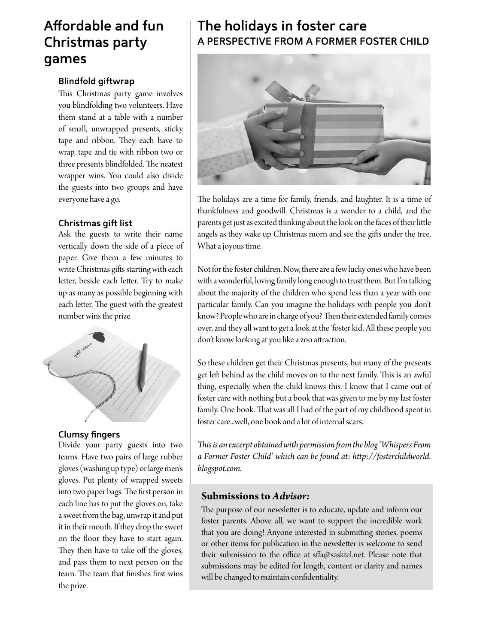## **Afordable and fun Christmas party games**

## **Blindfold giftwrap**

This Christmas party game involves you blindfolding two volunteers. Have them stand at a table with a number of small, unwrapped presents, sticky tape and ribbon. They each have to wrap, tape and tie with ribbon two or three presents blindfolded. The neatest wrapper wins. You could also divide the guests into two groups and have everyone have a go.

### **Christmas gift list**

Ask the guests to write their name vertically down the side of a piece of paper. Give them a few minutes to write Christmas gifts starting with each letter, beside each letter. Try to make up as many as possible beginning with each letter. The guest with the greatest number wins the prize.



#### **Clumsy fingers**

Divide your party guests into two teams. Have two pairs of large rubber gloves (washing up type) or large men's gloves. Put plenty of wrapped sweets into two paper bags. The first person in each line has to put the gloves on, take a sweet from the bag, unwrap it and put it in their mouth. If they drop the sweet on the foor they have to start again. They then have to take off the gloves, and pass them to next person on the team. The team that finishes first wins the prize.

## **The holidays in foster care A PERSPECTIVE FROM A FORMER FOSTER CHILD**



The holidays are a time for family, friends, and laughter. It is a time of thankfulness and goodwill. Christmas is a wonder to a child, and the parents get just as excited thinking about the look on the faces of their litle angels as they wake up Christmas morn and see the gifts under the tree. What a joyous time.

Not for the foster children. Now, there are a few lucky ones who have been with a wonderful, loving family long enough to trust them. But I'm talking about the majority of the children who spend less than a year with one particular family. Can you imagine the holidays with people you don't know? People who are in charge of you? Then their extended family comes over, and they all want to get a look at the 'foster kid'. All these people you don't know looking at you like a zoo atraction.

So these children get their Christmas presents, but many of the presents get left behind as the child moves on to the next family. This is an awful thing, especially when the child knows this. I know that I came out of foster care with nothing but a book that was given to me by my last foster family. One book. That was all I had of the part of my childhood spent in foster care...well, one book and a lot of internal scars.

*Tis is an excerpt obtained with permission fom the blog 'Whispers From a Former Foster Child' which can be found at: htp://fosterchildworld. blogspot.com.*

## **Submissions to** *Advisor:*

The purpose of our newsletter is to educate, update and inform our foster parents. Above all, we want to support the incredible work that you are doing! Anyone interested in submiting stories, poems or other items for publication in the newsleter is welcome to send their submission to the office at sffa@sasktel.net. Please note that submissions may be edited for length, content or clarity and names will be changed to maintain confdentiality.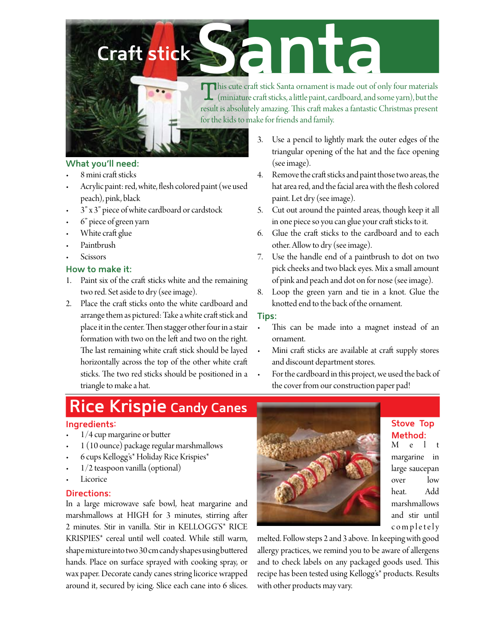# Craft stick

This cute craft stick Santa ornament is made out of only four materials (miniature craft sticks, a little paint, cardboard, and some yarn), but the result is absolutely amazing. This craft makes a fantastic Christmas present for the kids to make for friends and family.

## What you'll need:

- 8 mini craft sticks
- Acrylic paint: red, white, flesh colored paint (we used peach), pink, black
- 3" x 3" piece of white cardboard or cardstock
- 6" piece of green yarn
- White craft glue
- Paintbrush
- Scissors

### How to make it:

- 1. Paint six of the craft sticks white and the remaining two red. Set aside to dry (see image).
- 2. Place the craft sticks onto the white cardboard and arrange them as pictured: Take a white craft stick and place it in the center. Then stagger other four in a stair formation with two on the left and two on the right. The last remaining white craft stick should be layed horizontally across the top of the other white craft sticks. The two red sticks should be positioned in a triangle to make a hat.
- 3. Use a pencil to lightly mark the outer edges of the triangular opening of the hat and the face opening (see image).
- 4. Remove the craft sticks and paint those two areas, the hat area red, and the facial area with the flesh colored paint. Let dry (see image).
- 5. Cut out around the painted areas, though keep it all in one piece so you can glue your craft sticks to it.
- 6. Glue the craft sticks to the cardboard and to each other. Allow to dry (see image).
- Use the handle end of a paintbrush to dot on two 7. pick cheeks and two black eyes. Mix a small amount of pink and peach and dot on for nose (see image).
- Loop the green yarn and tie in a knot. Glue the 8. knotted end to the back of the ornament.

## Tips:

- This can be made into a magnet instead of an ornament.
- Mini craft sticks are available at craft supply stores and discount department stores.
- For the cardboard in this project, we used the back of the cover from our construction paper pad!

## **Rice Krispie Candy Canes**

## Ingredients:

- 1/4 cup margarine or butter
- 1 (10 ounce) package regular marshmallows
- 6 cups Kellogg's\* Holiday Rice Krispies\*
- $1/2$  teaspoon vanilla (optional)
- Licorice

#### **Directions:**

In a large microwave safe bowl, heat margarine and marshmallows at HIGH for 3 minutes, stirring after 2 minutes. Stir in vanilla. Stir in KELLOGG'S\* RICE KRISPIES\* cereal until well coated. While still warm, shape mixture into two 30 cm candy shapes using buttered hands. Place on surface sprayed with cooking spray, or wax paper. Decorate candy canes string licorice wrapped around it, secured by icing. Slice each cane into 6 slices.



## **Stove Top** Method:

M  $\epsilon$  $\mathbf{t}$ margarine in large saucepan over  $low$ heat. Add marshmallows and stir until completely

melted. Follow steps 2 and 3 above. In keeping with good allergy practices, we remind you to be aware of allergens and to check labels on any packaged goods used. This recipe has been tested using Kellogg's\* products. Results with other products may vary.